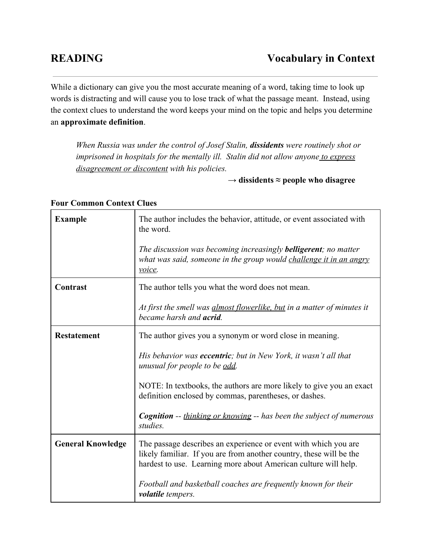While a dictionary can give you the most accurate meaning of a word, taking time to look up words is distracting and will cause you to lose track of what the passage meant. Instead, using the context clues to understand the word keeps your mind on the topic and helps you determine an **approximate definition**.

*When Russia was under the control of Josef Stalin, dissidentswere routinely shot or imprisoned in hospitals for the mentally ill. Stalin did not allow anyone to express disagreement or discontent with his policies.*

→ **dissidents ≈ people who disagree**

| <b>Example</b>           | The author includes the behavior, attitude, or event associated with<br>the word.                                                                                                                         |
|--------------------------|-----------------------------------------------------------------------------------------------------------------------------------------------------------------------------------------------------------|
|                          | The discussion was becoming increasingly <b>belligerent</b> ; no matter<br>what was said, someone in the group would challenge it in an angry<br>voice.                                                   |
| Contrast                 | The author tells you what the word does not mean.                                                                                                                                                         |
|                          | At first the smell was <i>almost flowerlike</i> , but in a matter of minutes it<br>became harsh and <b>acrid</b> .                                                                                        |
| <b>Restatement</b>       | The author gives you a synonym or word close in meaning.                                                                                                                                                  |
|                          | His behavior was <b>eccentric</b> ; but in New York, it wasn't all that<br>unusual for people to be odd.                                                                                                  |
|                          | NOTE: In textbooks, the authors are more likely to give you an exact<br>definition enclosed by commas, parentheses, or dashes.                                                                            |
|                          | <b>Cognition</b> -- thinking or knowing -- has been the subject of numerous<br>studies.                                                                                                                   |
| <b>General Knowledge</b> | The passage describes an experience or event with which you are<br>likely familiar. If you are from another country, these will be the<br>hardest to use. Learning more about American culture will help. |
|                          | Football and basketball coaches are frequently known for their<br>volatile tempers.                                                                                                                       |

## **Four Common Context Clues**